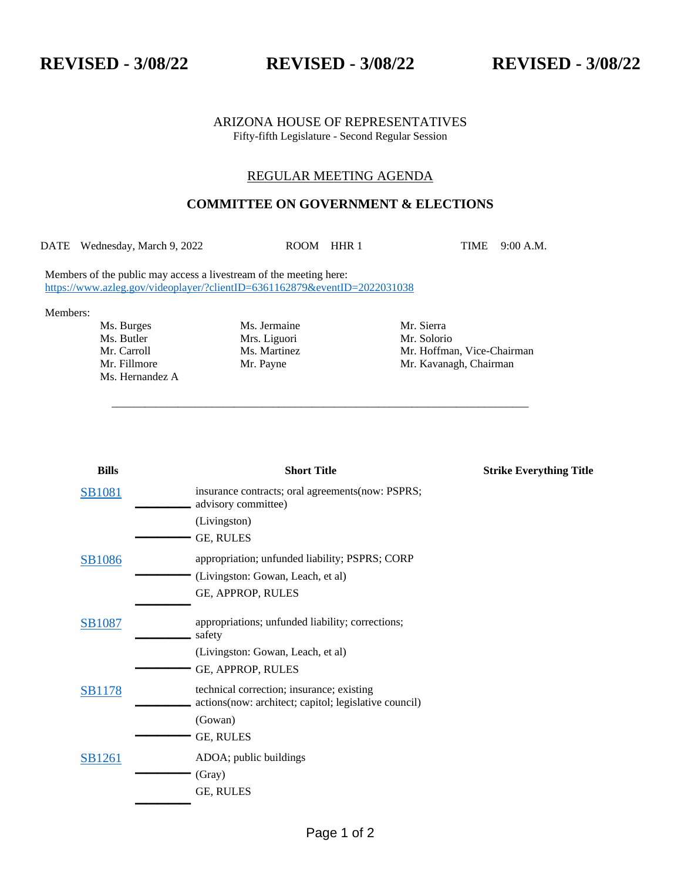**REVISED - 3/08/22 REVISED - 3/08/22 REVISED - 3/08/22**

## ARIZONA HOUSE OF REPRESENTATIVES Fifty-fifth Legislature - Second Regular Session

## REGULAR MEETING AGENDA

## **COMMITTEE ON GOVERNMENT & ELECTIONS**

DATE Wednesday, March 9, 2022 ROOM HHR 1 TIME 9:00 A.M.

\_\_\_\_\_\_\_\_\_\_\_\_\_\_\_\_\_\_\_\_\_\_\_\_\_\_\_\_\_\_\_\_\_\_\_\_\_\_\_\_\_\_\_\_\_\_\_\_\_\_\_\_\_\_\_\_\_\_\_\_\_\_\_\_\_\_\_\_\_\_\_\_\_\_\_

Members of the public may access a livestream of the meeting here: <https://www.azleg.gov/videoplayer/?clientID=6361162879&eventID=2022031038>

Members:

Ms. Butler Mrs. Liguori Mr. Solorio Mr. Solorio Mr. Carroll Ms. Martinez Mr. Hoffma Ms. Hernandez A

Ms. Burges Ms. Jermaine Mr. Sierra

Mr. Hoffman, Vice-Chairman Mr. Fillmore Mr. Payne Mr. Payne Mr. Kavanagh, Chairman

| <b>Bills</b>  | <b>Short Title</b>                                                                                  | <b>Strike Everything Title</b> |
|---------------|-----------------------------------------------------------------------------------------------------|--------------------------------|
| <b>SB1081</b> | insurance contracts; oral agreements(now: PSPRS;<br>advisory committee)                             |                                |
|               | (Livingston)                                                                                        |                                |
|               | GE, RULES                                                                                           |                                |
| <b>SB1086</b> | appropriation; unfunded liability; PSPRS; CORP                                                      |                                |
|               | (Livingston: Gowan, Leach, et al)                                                                   |                                |
|               | GE, APPROP, RULES                                                                                   |                                |
| <b>SB1087</b> | appropriations; unfunded liability; corrections;<br>safety                                          |                                |
|               | (Livingston: Gowan, Leach, et al)                                                                   |                                |
|               | GE, APPROP, RULES                                                                                   |                                |
| <b>SB1178</b> | technical correction; insurance; existing<br>actions (now: architect; capitol; legislative council) |                                |
|               | (Gowan)                                                                                             |                                |
|               | GE, RULES                                                                                           |                                |
| SB1261        | ADOA; public buildings                                                                              |                                |
|               | (Gray)                                                                                              |                                |
|               | GE, RULES                                                                                           |                                |
|               |                                                                                                     |                                |